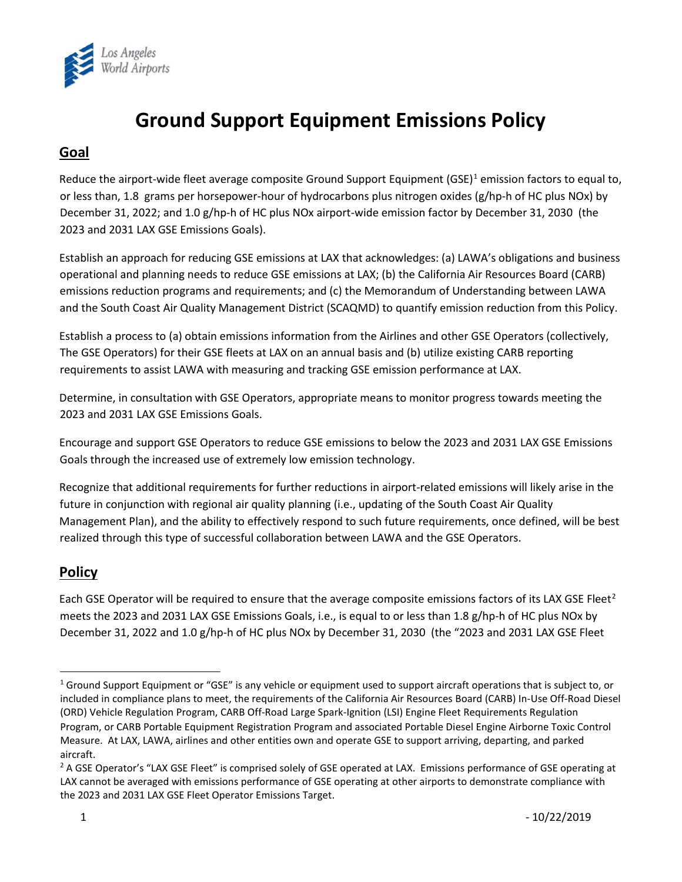

# **Ground Support Equipment Emissions Policy**

## **Goal**

Reduce the airport-wide fleet average composite Ground Support Equipment (GSE)<sup>[1](#page-0-0)</sup> emission factors to equal to, or less than, 1.8 grams per horsepower-hour of hydrocarbons plus nitrogen oxides (g/hp-h of HC plus NOx) by December 31, 2022; and 1.0 g/hp-h of HC plus NOx airport-wide emission factor by December 31, 2030 (the 2023 and 2031 LAX GSE Emissions Goals).

Establish an approach for reducing GSE emissions at LAX that acknowledges: (a) LAWA's obligations and business operational and planning needs to reduce GSE emissions at LAX; (b) the California Air Resources Board (CARB) emissions reduction programs and requirements; and (c) the Memorandum of Understanding between LAWA and the South Coast Air Quality Management District (SCAQMD) to quantify emission reduction from this Policy.

Establish a process to (a) obtain emissions information from the Airlines and other GSE Operators (collectively, The GSE Operators) for their GSE fleets at LAX on an annual basis and (b) utilize existing CARB reporting requirements to assist LAWA with measuring and tracking GSE emission performance at LAX.

Determine, in consultation with GSE Operators, appropriate means to monitor progress towards meeting the 2023 and 2031 LAX GSE Emissions Goals.

Encourage and support GSE Operators to reduce GSE emissions to below the 2023 and 2031 LAX GSE Emissions Goals through the increased use of extremely low emission technology.

Recognize that additional requirements for further reductions in airport-related emissions will likely arise in the future in conjunction with regional air quality planning (i.e., updating of the South Coast Air Quality Management Plan), and the ability to effectively respond to such future requirements, once defined, will be best realized through this type of successful collaboration between LAWA and the GSE Operators.

## **Policy**

Each GSE Operator will be required to ensure that the average composite emissions factors of its LAX GSE Fleet<sup>[2](#page-0-1)</sup> meets the 2023 and 2031 LAX GSE Emissions Goals, i.e., is equal to or less than 1.8 g/hp-h of HC plus NOx by December 31, 2022 and 1.0 g/hp-h of HC plus NOx by December 31, 2030 (the "2023 and 2031 LAX GSE Fleet

<span id="page-0-0"></span> $1$  Ground Support Equipment or "GSE" is any vehicle or equipment used to support aircraft operations that is subject to, or included in compliance plans to meet, the requirements of the California Air Resources Board (CARB) In-Use Off-Road Diesel (ORD) Vehicle Regulation Program, CARB Off-Road Large Spark-Ignition (LSI) Engine Fleet Requirements Regulation Program, or CARB Portable Equipment Registration Program and associated Portable Diesel Engine Airborne Toxic Control Measure. At LAX, LAWA, airlines and other entities own and operate GSE to support arriving, departing, and parked aircraft.

<span id="page-0-1"></span><sup>&</sup>lt;sup>2</sup> A GSE Operator's "LAX GSE Fleet" is comprised solely of GSE operated at LAX. Emissions performance of GSE operating at LAX cannot be averaged with emissions performance of GSE operating at other airports to demonstrate compliance with the 2023 and 2031 LAX GSE Fleet Operator Emissions Target.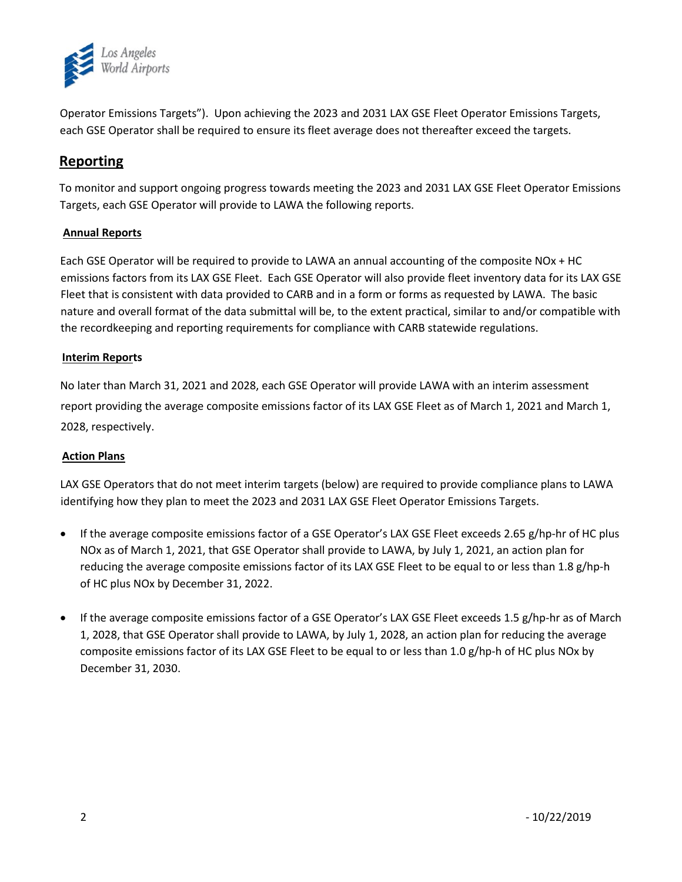

Operator Emissions Targets"). Upon achieving the 2023 and 2031 LAX GSE Fleet Operator Emissions Targets, each GSE Operator shall be required to ensure its fleet average does not thereafter exceed the targets.

## **Reporting**

To monitor and support ongoing progress towards meeting the 2023 and 2031 LAX GSE Fleet Operator Emissions Targets, each GSE Operator will provide to LAWA the following reports.

#### **Annual Reports**

Each GSE Operator will be required to provide to LAWA an annual accounting of the composite NOx + HC emissions factors from its LAX GSE Fleet. Each GSE Operator will also provide fleet inventory data for its LAX GSE Fleet that is consistent with data provided to CARB and in a form or forms as requested by LAWA. The basic nature and overall format of the data submittal will be, to the extent practical, similar to and/or compatible with the recordkeeping and reporting requirements for compliance with CARB statewide regulations.

#### **Interim Reports**

No later than March 31, 2021 and 2028, each GSE Operator will provide LAWA with an interim assessment report providing the average composite emissions factor of its LAX GSE Fleet as of March 1, 2021 and March 1, 2028, respectively.

#### **Action Plans**

LAX GSE Operators that do not meet interim targets (below) are required to provide compliance plans to LAWA identifying how they plan to meet the 2023 and 2031 LAX GSE Fleet Operator Emissions Targets.

- If the average composite emissions factor of a GSE Operator's LAX GSE Fleet exceeds 2.65 g/hp-hr of HC plus NOx as of March 1, 2021, that GSE Operator shall provide to LAWA, by July 1, 2021, an action plan for reducing the average composite emissions factor of its LAX GSE Fleet to be equal to or less than 1.8 g/hp-h of HC plus NOx by December 31, 2022.
- If the average composite emissions factor of a GSE Operator's LAX GSE Fleet exceeds 1.5 g/hp-hr as of March 1, 2028, that GSE Operator shall provide to LAWA, by July 1, 2028, an action plan for reducing the average composite emissions factor of its LAX GSE Fleet to be equal to or less than 1.0 g/hp-h of HC plus NOx by December 31, 2030.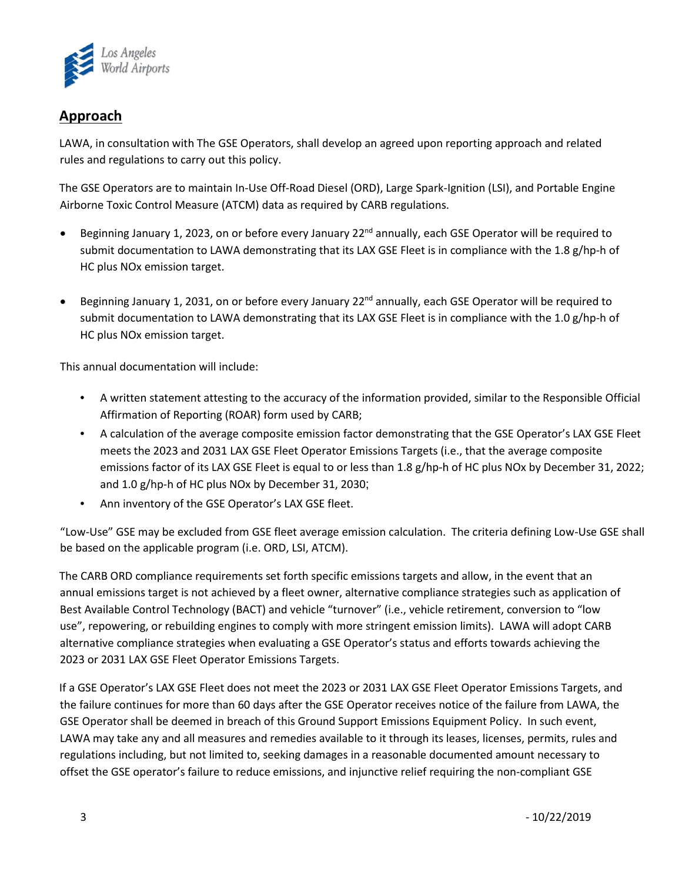

## **Approach**

LAWA, in consultation with The GSE Operators, shall develop an agreed upon reporting approach and related rules and regulations to carry out this policy.

The GSE Operators are to maintain In-Use Off-Road Diesel (ORD), Large Spark-Ignition (LSI), and Portable Engine Airborne Toxic Control Measure (ATCM) data as required by CARB regulations.

- Beginning January 1, 2023, on or before every January  $2^{nd}$  annually, each GSE Operator will be required to submit documentation to LAWA demonstrating that its LAX GSE Fleet is in compliance with the 1.8 g/hp-h of HC plus NOx emission target.
- **•** Beginning January 1, 2031, on or before every January  $22^{nd}$  annually, each GSE Operator will be required to submit documentation to LAWA demonstrating that its LAX GSE Fleet is in compliance with the 1.0 g/hp-h of HC plus NOx emission target.

This annual documentation will include:

- A written statement attesting to the accuracy of the information provided, similar to the Responsible Official Affirmation of Reporting (ROAR) form used by CARB;
- A calculation of the average composite emission factor demonstrating that the GSE Operator's LAX GSE Fleet meets the 2023 and 2031 LAX GSE Fleet Operator Emissions Targets (i.e., that the average composite emissions factor of its LAX GSE Fleet is equal to or less than 1.8 g/hp-h of HC plus NOx by December 31, 2022; and 1.0 g/hp-h of HC plus NOx by December 31, 2030;
- Ann inventory of the GSE Operator's LAX GSE fleet.

"Low-Use" GSE may be excluded from GSE fleet average emission calculation. The criteria defining Low-Use GSE shall be based on the applicable program (i.e. ORD, LSI, ATCM).

The CARB ORD compliance requirements set forth specific emissions targets and allow, in the event that an annual emissions target is not achieved by a fleet owner, alternative compliance strategies such as application of Best Available Control Technology (BACT) and vehicle "turnover" (i.e., vehicle retirement, conversion to "low use", repowering, or rebuilding engines to comply with more stringent emission limits). LAWA will adopt CARB alternative compliance strategies when evaluating a GSE Operator's status and efforts towards achieving the 2023 or 2031 LAX GSE Fleet Operator Emissions Targets.

If a GSE Operator's LAX GSE Fleet does not meet the 2023 or 2031 LAX GSE Fleet Operator Emissions Targets, and the failure continues for more than 60 days after the GSE Operator receives notice of the failure from LAWA, the GSE Operator shall be deemed in breach of this Ground Support Emissions Equipment Policy. In such event, LAWA may take any and all measures and remedies available to it through its leases, licenses, permits, rules and regulations including, but not limited to, seeking damages in a reasonable documented amount necessary to offset the GSE operator's failure to reduce emissions, and injunctive relief requiring the non-compliant GSE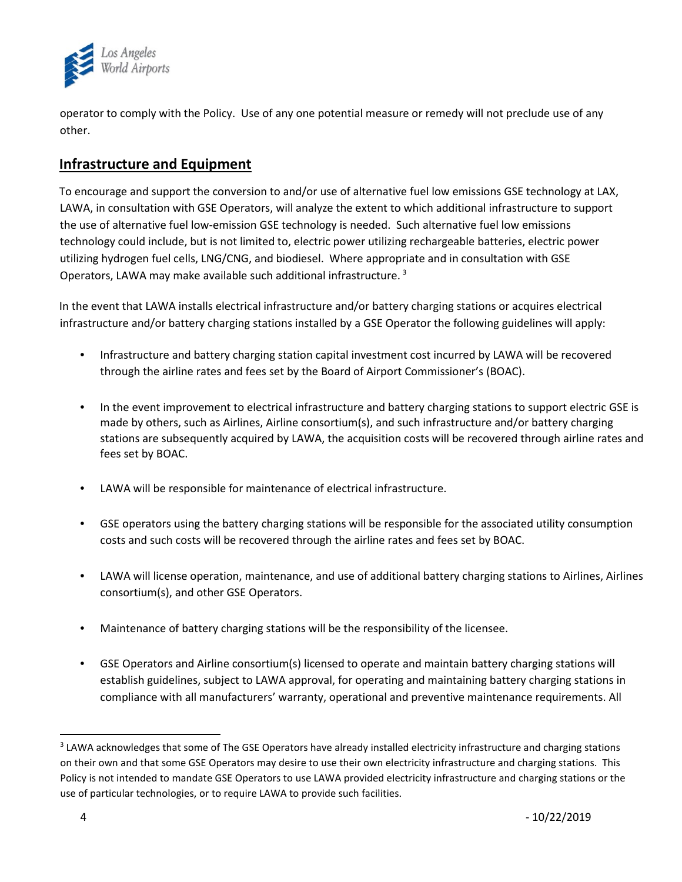

operator to comply with the Policy. Use of any one potential measure or remedy will not preclude use of any other.

## **Infrastructure and Equipment**

To encourage and support the conversion to and/or use of alternative fuel low emissions GSE technology at LAX, LAWA, in consultation with GSE Operators, will analyze the extent to which additional infrastructure to support the use of alternative fuel low-emission GSE technology is needed. Such alternative fuel low emissions technology could include, but is not limited to, electric power utilizing rechargeable batteries, electric power utilizing hydrogen fuel cells, LNG/CNG, and biodiesel. Where appropriate and in consultation with GSE Operators, LAWA may make available such additional infrastructure.<sup>[3](#page-3-0)</sup>

In the event that LAWA installs electrical infrastructure and/or battery charging stations or acquires electrical infrastructure and/or battery charging stations installed by a GSE Operator the following guidelines will apply:

- Infrastructure and battery charging station capital investment cost incurred by LAWA will be recovered through the airline rates and fees set by the Board of Airport Commissioner's (BOAC).
- In the event improvement to electrical infrastructure and battery charging stations to support electric GSE is made by others, such as Airlines, Airline consortium(s), and such infrastructure and/or battery charging stations are subsequently acquired by LAWA, the acquisition costs will be recovered through airline rates and fees set by BOAC.
- LAWA will be responsible for maintenance of electrical infrastructure.
- GSE operators using the battery charging stations will be responsible for the associated utility consumption costs and such costs will be recovered through the airline rates and fees set by BOAC.
- LAWA will license operation, maintenance, and use of additional battery charging stations to Airlines, Airlines consortium(s), and other GSE Operators.
- Maintenance of battery charging stations will be the responsibility of the licensee.
- GSE Operators and Airline consortium(s) licensed to operate and maintain battery charging stations will establish guidelines, subject to LAWA approval, for operating and maintaining battery charging stations in compliance with all manufacturers' warranty, operational and preventive maintenance requirements. All

<span id="page-3-0"></span><sup>&</sup>lt;sup>3</sup> LAWA acknowledges that some of The GSE Operators have already installed electricity infrastructure and charging stations on their own and that some GSE Operators may desire to use their own electricity infrastructure and charging stations. This Policy is not intended to mandate GSE Operators to use LAWA provided electricity infrastructure and charging stations or the use of particular technologies, or to require LAWA to provide such facilities.